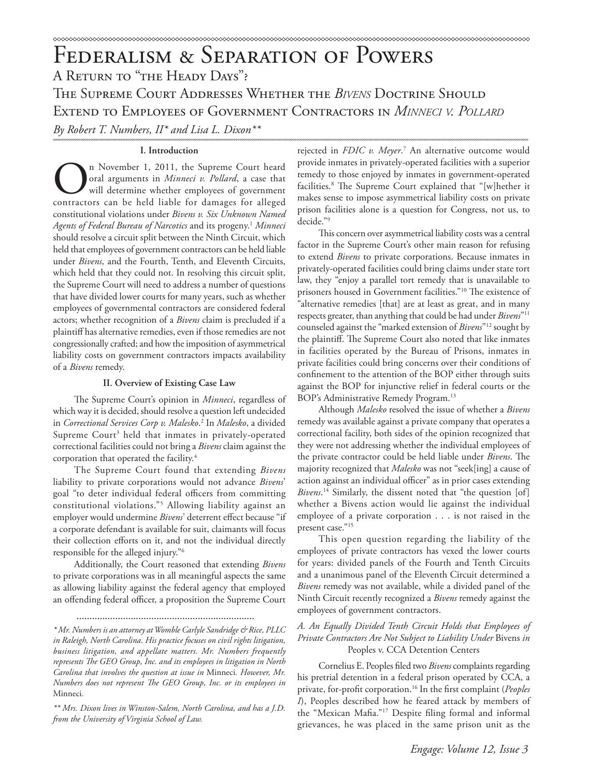# A Return to "the Heady Days"? The Supreme Court Addresses Whether the *Bivens* Doctrine Should Extend to Employees of Government Contractors in *Minneci v. Pollard By Robert T. Numbers, II\* and Lisa L. Dixon\*\**

# **I. Introduction**

The November 1, 2011, the Supreme Court heard<br>oral arguments in *Minneci v. Pollard*, a case that<br>will determine whether employees of government<br>contractors can be held liable for damages for alleged oral arguments in *Minneci v. Pollard*, a case that will determine whether employees of government contractors can be held liable for damages for alleged constitutional violations under *Bivens v. Six Unknown Named Agents of Federal Bureau of Narcotics* and its progeny.1 *Minneci* should resolve a circuit split between the Ninth Circuit, which held that employees of government contractors can be held liable under *Bivens*, and the Fourth, Tenth, and Eleventh Circuits, which held that they could not. In resolving this circuit split, the Supreme Court will need to address a number of questions that have divided lower courts for many years, such as whether employees of governmental contractors are considered federal actors; whether recognition of a *Bivens* claim is precluded if a plaintiff has alternative remedies, even if those remedies are not congressionally crafted; and how the imposition of asymmetrical liability costs on government contractors impacts availability of a *Bivens* remedy.

## **II. Overview of Existing Case Law**

The Supreme Court's opinion in *Minneci*, regardless of which way it is decided, should resolve a question left undecided in *Correctional Services Corp v. Malesko*. 2 In *Malesko*, a divided Supreme Court<sup>3</sup> held that inmates in privately-operated correctional facilities could not bring a *Bivens* claim against the corporation that operated the facility.4

The Supreme Court found that extending *Bivens* liability to private corporations would not advance *Bivens*' goal "to deter individual federal officers from committing constitutional violations."5 Allowing liability against an employer would undermine *Bivens*' deterrent effect because "if a corporate defendant is available for suit, claimants will focus their collection efforts on it, and not the individual directly responsible for the alleged injury."6

Additionally, the Court reasoned that extending *Bivens* to private corporations was in all meaningful aspects the same as allowing liability against the federal agency that employed an offending federal officer, a proposition the Supreme Court

.....................................................................

*\* Mr. Numbers is an attorney at Womble Carlyle Sandridge & Rice, PLLC in Raleigh, North Carolina. His practice focuses on civil rights litigation, business litigation, and appellate matters. Mr. Numbers frequently represents The GEO Group, Inc. and its employees in litigation in North Carolina that involves the question at issue in* Minneci*. However, Mr. Numbers does not represent The GEO Group, Inc. or its employees in*  Minneci*.*

*\*\* Mrs. Dixon lives in Winston-Salem, North Carolina, and has a J.D. from the University of Virginia School of Law.*

rejected in *FDIC v. Meyer*. 7 An alternative outcome would provide inmates in privately-operated facilities with a superior remedy to those enjoyed by inmates in government-operated facilities.8 The Supreme Court explained that "[w]hether it makes sense to impose asymmetrical liability costs on private prison facilities alone is a question for Congress, not us, to decide."9

This concern over asymmetrical liability costs was a central factor in the Supreme Court's other main reason for refusing to extend *Bivens* to private corporations. Because inmates in privately-operated facilities could bring claims under state tort law, they "enjoy a parallel tort remedy that is unavailable to prisoners housed in Government facilities."10 The existence of "alternative remedies [that] are at least as great, and in many respects greater, than anything that could be had under *Bivens*"11 counseled against the "marked extension of *Bivens*"12 sought by the plaintiff. The Supreme Court also noted that like inmates in facilities operated by the Bureau of Prisons, inmates in private facilities could bring concerns over their conditions of confinement to the attention of the BOP either through suits against the BOP for injunctive relief in federal courts or the BOP's Administrative Remedy Program.13

Although *Malesko* resolved the issue of whether a *Bivens* remedy was available against a private company that operates a correctional facility, both sides of the opinion recognized that they were not addressing whether the individual employees of the private contractor could be held liable under *Bivens*. The majority recognized that *Malesko* was not "seek[ing] a cause of action against an individual officer" as in prior cases extending *Bivens*. 14 Similarly, the dissent noted that "the question [of] whether a Bivens action would lie against the individual employee of a private corporation . . . is not raised in the present case."15

This open question regarding the liability of the employees of private contractors has vexed the lower courts for years: divided panels of the Fourth and Tenth Circuits and a unanimous panel of the Eleventh Circuit determined a *Bivens* remedy was not available, while a divided panel of the Ninth Circuit recently recognized a *Bivens* remedy against the employees of government contractors.

# *A. An Equally Divided Tenth Circuit Holds that Employees of Private Contractors Are Not Subject to Liability Under* Bivens *in* Peoples v. CCA Detention Centers

Cornelius E. Peoples filed two *Bivens* complaints regarding his pretrial detention in a federal prison operated by CCA, a private, for-profit corporation.16 In the first complaint (*Peoples I*), Peoples described how he feared attack by members of the "Mexican Mafia."17 Despite filing formal and informal grievances, he was placed in the same prison unit as the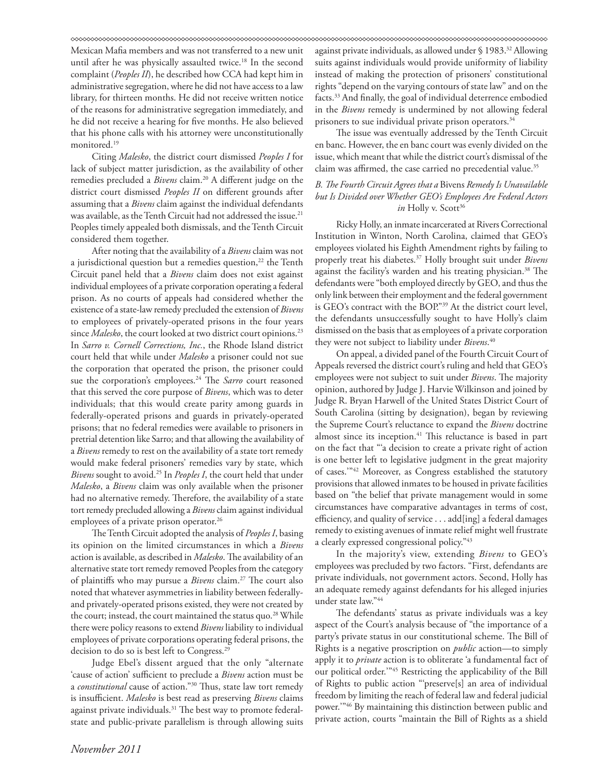Mexican Mafia members and was not transferred to a new unit until after he was physically assaulted twice.<sup>18</sup> In the second complaint (*Peoples II*), he described how CCA had kept him in administrative segregation, where he did not have access to a law library, for thirteen months. He did not receive written notice of the reasons for administrative segregation immediately, and he did not receive a hearing for five months. He also believed that his phone calls with his attorney were unconstitutionally monitored.19

Citing *Malesko*, the district court dismissed *Peoples I* for lack of subject matter jurisdiction, as the availability of other remedies precluded a *Bivens* claim.<sup>20</sup> A different judge on the district court dismissed *Peoples II* on different grounds after assuming that a *Bivens* claim against the individual defendants was available, as the Tenth Circuit had not addressed the issue.<sup>21</sup> Peoples timely appealed both dismissals, and the Tenth Circuit considered them together.

After noting that the availability of a *Bivens* claim was not a jurisdictional question but a remedies question,<sup>22</sup> the Tenth Circuit panel held that a *Bivens* claim does not exist against individual employees of a private corporation operating a federal prison. As no courts of appeals had considered whether the existence of a state-law remedy precluded the extension of *Bivens* to employees of privately-operated prisons in the four years since *Malesko*, the court looked at two district court opinions.<sup>23</sup> In *Sarro v. Cornell Corrections, Inc.*, the Rhode Island district court held that while under *Malesko* a prisoner could not sue the corporation that operated the prison, the prisoner could sue the corporation's employees.<sup>24</sup> The *Sarro* court reasoned that this served the core purpose of *Bivens*, which was to deter individuals; that this would create parity among guards in federally-operated prisons and guards in privately-operated prisons; that no federal remedies were available to prisoners in pretrial detention like Sarro; and that allowing the availability of a *Bivens* remedy to rest on the availability of a state tort remedy would make federal prisoners' remedies vary by state, which *Bivens* sought to avoid.25 In *Peoples I*, the court held that under *Malesko*, a *Bivens* claim was only available when the prisoner had no alternative remedy. Therefore, the availability of a state tort remedy precluded allowing a *Bivens* claim against individual employees of a private prison operator.<sup>26</sup>

The Tenth Circuit adopted the analysis of *Peoples I*, basing its opinion on the limited circumstances in which a *Bivens*  action is available, as described in *Malesko*. The availability of an alternative state tort remedy removed Peoples from the category of plaintiffs who may pursue a *Bivens* claim.27 The court also noted that whatever asymmetries in liability between federallyand privately-operated prisons existed, they were not created by the court; instead, the court maintained the status quo.<sup>28</sup> While there were policy reasons to extend *Bivens* liability to individual employees of private corporations operating federal prisons, the decision to do so is best left to Congress.29

Judge Ebel's dissent argued that the only "alternate 'cause of action' sufficient to preclude a *Bivens* action must be a *constitutional* cause of action."30 Thus, state law tort remedy is insufficient. *Malesko* is best read as preserving *Bivens* claims against private individuals.<sup>31</sup> The best way to promote federalstate and public-private parallelism is through allowing suits

against private individuals, as allowed under § 1983.<sup>32</sup> Allowing suits against individuals would provide uniformity of liability instead of making the protection of prisoners' constitutional rights "depend on the varying contours of state law" and on the facts.33 And finally, the goal of individual deterrence embodied in the *Bivens* remedy is undermined by not allowing federal prisoners to sue individual private prison operators.<sup>34</sup>

The issue was eventually addressed by the Tenth Circuit en banc. However, the en banc court was evenly divided on the issue, which meant that while the district court's dismissal of the claim was affirmed, the case carried no precedential value.<sup>35</sup>

# *B. The Fourth Circuit Agrees that a* Bivens *Remedy Is Unavailable but Is Divided over Whether GEO's Employees Are Federal Actors in* Holly v. Scott<sup>36</sup>

Ricky Holly, an inmate incarcerated at Rivers Correctional Institution in Winton, North Carolina, claimed that GEO's employees violated his Eighth Amendment rights by failing to properly treat his diabetes.37 Holly brought suit under *Bivens* against the facility's warden and his treating physician.<sup>38</sup> The defendants were "both employed directly by GEO, and thus the only link between their employment and the federal government is GEO's contract with the BOP."39 At the district court level, the defendants unsuccessfully sought to have Holly's claim dismissed on the basis that as employees of a private corporation they were not subject to liability under *Bivens*. 40

On appeal, a divided panel of the Fourth Circuit Court of Appeals reversed the district court's ruling and held that GEO's employees were not subject to suit under *Bivens*. The majority opinion, authored by Judge J. Harvie Wilkinson and joined by Judge R. Bryan Harwell of the United States District Court of South Carolina (sitting by designation), began by reviewing the Supreme Court's reluctance to expand the *Bivens* doctrine almost since its inception.<sup>41</sup> This reluctance is based in part on the fact that "'a decision to create a private right of action is one better left to legislative judgment in the great majority of cases.'"42 Moreover, as Congress established the statutory provisions that allowed inmates to be housed in private facilities based on "the belief that private management would in some circumstances have comparative advantages in terms of cost, efficiency, and quality of service . . . add[ing] a federal damages remedy to existing avenues of inmate relief might well frustrate a clearly expressed congressional policy."43

In the majority's view, extending *Bivens* to GEO's employees was precluded by two factors. "First, defendants are private individuals, not government actors. Second, Holly has an adequate remedy against defendants for his alleged injuries under state law."44

The defendants' status as private individuals was a key aspect of the Court's analysis because of "the importance of a party's private status in our constitutional scheme. The Bill of Rights is a negative proscription on *public* action—to simply apply it to *private* action is to obliterate 'a fundamental fact of our political order.'"45 Restricting the applicability of the Bill of Rights to public action "'preserve[s] an area of individual freedom by limiting the reach of federal law and federal judicial power.'"46 By maintaining this distinction between public and private action, courts "maintain the Bill of Rights as a shield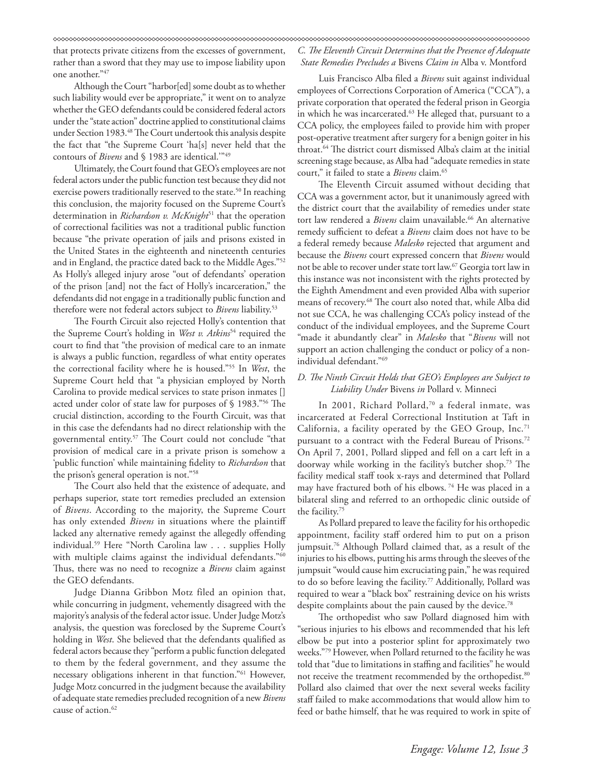that protects private citizens from the excesses of government, rather than a sword that they may use to impose liability upon one another."47

Although the Court "harbor[ed] some doubt as to whether such liability would ever be appropriate," it went on to analyze whether the GEO defendants could be considered federal actors under the "state action" doctrine applied to constitutional claims under Section 1983.<sup>48</sup> The Court undertook this analysis despite the fact that "the Supreme Court 'ha[s] never held that the contours of *Bivens* and § 1983 are identical.'"49

Ultimately, the Court found that GEO's employees are not federal actors under the public function test because they did not exercise powers traditionally reserved to the state.<sup>50</sup> In reaching this conclusion, the majority focused on the Supreme Court's determination in *Richardson v. McKnight*51 that the operation of correctional facilities was not a traditional public function because "the private operation of jails and prisons existed in the United States in the eighteenth and nineteenth centuries and in England, the practice dated back to the Middle Ages."52 As Holly's alleged injury arose "out of defendants' operation of the prison [and] not the fact of Holly's incarceration," the defendants did not engage in a traditionally public function and therefore were not federal actors subject to *Bivens* liability.53

The Fourth Circuit also rejected Holly's contention that the Supreme Court's holding in *West v. Atkins*54 required the court to find that "the provision of medical care to an inmate is always a public function, regardless of what entity operates the correctional facility where he is housed."55 In *West*, the Supreme Court held that "a physician employed by North Carolina to provide medical services to state prison inmates [] acted under color of state law for purposes of § 1983."56 The crucial distinction, according to the Fourth Circuit, was that in this case the defendants had no direct relationship with the governmental entity.57 The Court could not conclude "that provision of medical care in a private prison is somehow a 'public function' while maintaining fidelity to *Richardson* that the prison's general operation is not."58

The Court also held that the existence of adequate, and perhaps superior, state tort remedies precluded an extension of *Bivens*. According to the majority, the Supreme Court has only extended *Bivens* in situations where the plaintiff lacked any alternative remedy against the allegedly offending individual.59 Here "North Carolina law . . . supplies Holly with multiple claims against the individual defendants."<sup>60</sup> Thus, there was no need to recognize a *Bivens* claim against the GEO defendants.

Judge Dianna Gribbon Motz filed an opinion that, while concurring in judgment, vehemently disagreed with the majority's analysis of the federal actor issue. Under Judge Motz's analysis, the question was foreclosed by the Supreme Court's holding in *West*. She believed that the defendants qualified as federal actors because they "perform a public function delegated to them by the federal government, and they assume the necessary obligations inherent in that function."61 However, Judge Motz concurred in the judgment because the availability of adequate state remedies precluded recognition of a new *Bivens* cause of action.<sup>62</sup>

# *C. The Eleventh Circuit Determines that the Presence of Adequate State Remedies Precludes a* Bivens *Claim in* Alba v. Montford

Luis Francisco Alba filed a *Bivens* suit against individual employees of Corrections Corporation of America ("CCA"), a private corporation that operated the federal prison in Georgia in which he was incarcerated.<sup>63</sup> He alleged that, pursuant to a CCA policy, the employees failed to provide him with proper post-operative treatment after surgery for a benign goiter in his throat.64 The district court dismissed Alba's claim at the initial screening stage because, as Alba had "adequate remedies in state court," it failed to state a *Bivens* claim.65

The Eleventh Circuit assumed without deciding that CCA was a government actor, but it unanimously agreed with the district court that the availability of remedies under state tort law rendered a *Bivens* claim unavailable.<sup>66</sup> An alternative remedy sufficient to defeat a *Bivens* claim does not have to be a federal remedy because *Malesko* rejected that argument and because the *Bivens* court expressed concern that *Bivens* would not be able to recover under state tort law.67 Georgia tort law in this instance was not inconsistent with the rights protected by the Eighth Amendment and even provided Alba with superior means of recovery.68 The court also noted that, while Alba did not sue CCA, he was challenging CCA's policy instead of the conduct of the individual employees, and the Supreme Court "made it abundantly clear" in *Malesko* that "*Bivens* will not support an action challenging the conduct or policy of a nonindividual defendant."69

# *D. The Ninth Circuit Holds that GEO's Employees are Subject to Liability Under* Bivens *in* Pollard v. Minneci

In 2001, Richard Pollard,<sup>70</sup> a federal inmate, was incarcerated at Federal Correctional Institution at Taft in California, a facility operated by the GEO Group,  $Inc.^{71}$ pursuant to a contract with the Federal Bureau of Prisons.<sup>72</sup> On April 7, 2001, Pollard slipped and fell on a cart left in a doorway while working in the facility's butcher shop.73 The facility medical staff took x-rays and determined that Pollard may have fractured both of his elbows.<sup>74</sup> He was placed in a bilateral sling and referred to an orthopedic clinic outside of the facility.75

As Pollard prepared to leave the facility for his orthopedic appointment, facility staff ordered him to put on a prison jumpsuit.76 Although Pollard claimed that, as a result of the injuries to his elbows, putting his arms through the sleeves of the jumpsuit "would cause him excruciating pain," he was required to do so before leaving the facility.77 Additionally, Pollard was required to wear a "black box" restraining device on his wrists despite complaints about the pain caused by the device.<sup>78</sup>

The orthopedist who saw Pollard diagnosed him with "serious injuries to his elbows and recommended that his left elbow be put into a posterior splint for approximately two weeks."79 However, when Pollard returned to the facility he was told that "due to limitations in staffing and facilities" he would not receive the treatment recommended by the orthopedist.<sup>80</sup> Pollard also claimed that over the next several weeks facility staff failed to make accommodations that would allow him to feed or bathe himself, that he was required to work in spite of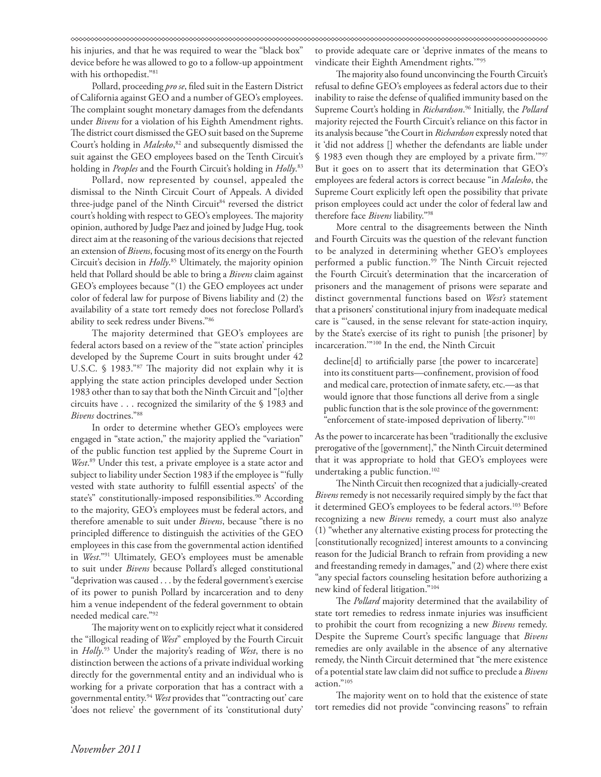his injuries, and that he was required to wear the "black box" device before he was allowed to go to a follow-up appointment with his orthopedist."<sup>81</sup>

Pollard, proceeding *pro se*, filed suit in the Eastern District of California against GEO and a number of GEO's employees. The complaint sought monetary damages from the defendants under *Bivens* for a violation of his Eighth Amendment rights. The district court dismissed the GEO suit based on the Supreme Court's holding in *Malesko*, 82 and subsequently dismissed the suit against the GEO employees based on the Tenth Circuit's holding in *Peoples* and the Fourth Circuit's holding in *Holly*. 83

Pollard, now represented by counsel, appealed the dismissal to the Ninth Circuit Court of Appeals. A divided three-judge panel of the Ninth Circuit<sup>84</sup> reversed the district court's holding with respect to GEO's employees. The majority opinion, authored by Judge Paez and joined by Judge Hug, took direct aim at the reasoning of the various decisions that rejected an extension of *Bivens*, focusing most of its energy on the Fourth Circuit's decision in *Holly*. 85 Ultimately, the majority opinion held that Pollard should be able to bring a *Bivens* claim against GEO's employees because "(1) the GEO employees act under color of federal law for purpose of Bivens liability and (2) the availability of a state tort remedy does not foreclose Pollard's ability to seek redress under Bivens."86

The majority determined that GEO's employees are federal actors based on a review of the "'state action' principles developed by the Supreme Court in suits brought under 42 U.S.C. § 1983."87 The majority did not explain why it is applying the state action principles developed under Section 1983 other than to say that both the Ninth Circuit and "[o]ther circuits have . . . recognized the similarity of the § 1983 and *Bivens* doctrines."88

In order to determine whether GEO's employees were engaged in "state action," the majority applied the "variation" of the public function test applied by the Supreme Court in West.<sup>89</sup> Under this test, a private employee is a state actor and subject to liability under Section 1983 if the employee is "'fully vested with state authority to fulfill essential aspects' of the state's" constitutionally-imposed responsibilities.<sup>90</sup> According to the majority, GEO's employees must be federal actors, and therefore amenable to suit under *Bivens*, because "there is no principled difference to distinguish the activities of the GEO employees in this case from the governmental action identified in *West*."91 Ultimately, GEO's employees must be amenable to suit under *Bivens* because Pollard's alleged constitutional "deprivation was caused . . . by the federal government's exercise of its power to punish Pollard by incarceration and to deny him a venue independent of the federal government to obtain needed medical care."92

The majority went on to explicitly reject what it considered the "illogical reading of *West*" employed by the Fourth Circuit in *Holly*. 93 Under the majority's reading of *West*, there is no distinction between the actions of a private individual working directly for the governmental entity and an individual who is working for a private corporation that has a contract with a governmental entity.94 *West* provides that "'contracting out' care 'does not relieve' the government of its 'constitutional duty'

to provide adequate care or 'deprive inmates of the means to vindicate their Eighth Amendment rights.'"95

The majority also found unconvincing the Fourth Circuit's refusal to define GEO's employees as federal actors due to their inability to raise the defense of qualified immunity based on the Supreme Court's holding in *Richardson*. 96 Initially, the *Pollard* majority rejected the Fourth Circuit's reliance on this factor in its analysis because "the Court in *Richardson* expressly noted that it 'did not address [] whether the defendants are liable under § 1983 even though they are employed by a private firm.'"97 But it goes on to assert that its determination that GEO's employees are federal actors is correct because "in *Malesko*, the Supreme Court explicitly left open the possibility that private prison employees could act under the color of federal law and therefore face *Bivens* liability."98

More central to the disagreements between the Ninth and Fourth Circuits was the question of the relevant function to be analyzed in determining whether GEO's employees performed a public function.<sup>99</sup> The Ninth Circuit rejected the Fourth Circuit's determination that the incarceration of prisoners and the management of prisons were separate and distinct governmental functions based on *West's* statement that a prisoners' constitutional injury from inadequate medical care is "'caused, in the sense relevant for state-action inquiry, by the State's exercise of its right to punish [the prisoner] by incarceration.'"100 In the end, the Ninth Circuit

decline[d] to artificially parse [the power to incarcerate] into its constituent parts—confinement, provision of food and medical care, protection of inmate safety, etc.—as that would ignore that those functions all derive from a single public function that is the sole province of the government: "enforcement of state-imposed deprivation of liberty."<sup>101</sup>

As the power to incarcerate has been "traditionally the exclusive prerogative of the [government]," the Ninth Circuit determined that it was appropriate to hold that GEO's employees were undertaking a public function.<sup>102</sup>

The Ninth Circuit then recognized that a judicially-created *Bivens* remedy is not necessarily required simply by the fact that it determined GEO's employees to be federal actors.<sup>103</sup> Before recognizing a new *Bivens* remedy, a court must also analyze (1) "whether any alternative existing process for protecting the [constitutionally recognized] interest amounts to a convincing reason for the Judicial Branch to refrain from providing a new and freestanding remedy in damages," and (2) where there exist "any special factors counseling hesitation before authorizing a new kind of federal litigation."104

The *Pollard* majority determined that the availability of state tort remedies to redress inmate injuries was insufficient to prohibit the court from recognizing a new *Bivens* remedy. Despite the Supreme Court's specific language that *Bivens* remedies are only available in the absence of any alternative remedy, the Ninth Circuit determined that "the mere existence of a potential state law claim did not suffice to preclude a *Bivens* action."105

The majority went on to hold that the existence of state tort remedies did not provide "convincing reasons" to refrain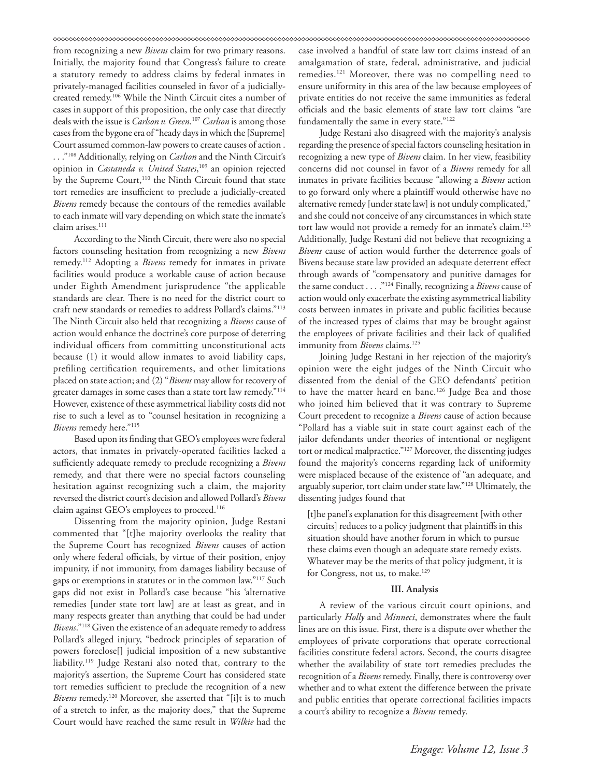from recognizing a new *Bivens* claim for two primary reasons. Initially, the majority found that Congress's failure to create a statutory remedy to address claims by federal inmates in privately-managed facilities counseled in favor of a judiciallycreated remedy.106 While the Ninth Circuit cites a number of cases in support of this proposition, the only case that directly deals with the issue is *Carlson v. Green*. <sup>107</sup> *Carlson* is among those cases from the bygone era of "heady days in which the [Supreme] Court assumed common-law powers to create causes of action . . . ."108 Additionally, relying on *Carlson* and the Ninth Circuit's opinion in *Castaneda v. United States*, 109 an opinion rejected by the Supreme Court,<sup>110</sup> the Ninth Circuit found that state tort remedies are insufficient to preclude a judicially-created *Bivens* remedy because the contours of the remedies available to each inmate will vary depending on which state the inmate's claim arises.<sup>111</sup>

According to the Ninth Circuit, there were also no special factors counseling hesitation from recognizing a new *Bivens* remedy.112 Adopting a *Bivens* remedy for inmates in private facilities would produce a workable cause of action because under Eighth Amendment jurisprudence "the applicable standards are clear. There is no need for the district court to craft new standards or remedies to address Pollard's claims."113 The Ninth Circuit also held that recognizing a *Bivens* cause of action would enhance the doctrine's core purpose of deterring individual officers from committing unconstitutional acts because (1) it would allow inmates to avoid liability caps, prefiling certification requirements, and other limitations placed on state action; and (2) "*Bivens* may allow for recovery of greater damages in some cases than a state tort law remedy."114 However, existence of these asymmetrical liability costs did not rise to such a level as to "counsel hesitation in recognizing a *Bivens* remedy here."115

Based upon its finding that GEO's employees were federal actors, that inmates in privately-operated facilities lacked a sufficiently adequate remedy to preclude recognizing a *Bivens* remedy, and that there were no special factors counseling hesitation against recognizing such a claim, the majority reversed the district court's decision and allowed Pollard's *Bivens* claim against GEO's employees to proceed.<sup>116</sup>

Dissenting from the majority opinion, Judge Restani commented that "[t]he majority overlooks the reality that the Supreme Court has recognized *Bivens* causes of action only where federal officials, by virtue of their position, enjoy impunity, if not immunity, from damages liability because of gaps or exemptions in statutes or in the common law."117 Such gaps did not exist in Pollard's case because "his 'alternative remedies [under state tort law] are at least as great, and in many respects greater than anything that could be had under *Bivens*."118 Given the existence of an adequate remedy to address Pollard's alleged injury, "bedrock principles of separation of powers foreclose[] judicial imposition of a new substantive liability.119 Judge Restani also noted that, contrary to the majority's assertion, the Supreme Court has considered state tort remedies sufficient to preclude the recognition of a new *Bivens* remedy.120 Moreover, she asserted that "[i]t is to much of a stretch to infer, as the majority does," that the Supreme Court would have reached the same result in *Wilkie* had the

case involved a handful of state law tort claims instead of an amalgamation of state, federal, administrative, and judicial remedies.121 Moreover, there was no compelling need to ensure uniformity in this area of the law because employees of private entities do not receive the same immunities as federal officials and the basic elements of state law tort claims "are fundamentally the same in every state."<sup>122</sup>

Judge Restani also disagreed with the majority's analysis regarding the presence of special factors counseling hesitation in recognizing a new type of *Bivens* claim. In her view, feasibility concerns did not counsel in favor of a *Bivens* remedy for all inmates in private facilities because "allowing a *Bivens* action to go forward only where a plaintiff would otherwise have no alternative remedy [under state law] is not unduly complicated," and she could not conceive of any circumstances in which state tort law would not provide a remedy for an inmate's claim.<sup>123</sup> Additionally, Judge Restani did not believe that recognizing a *Bivens* cause of action would further the deterrence goals of Bivens because state law provided an adequate deterrent effect through awards of "compensatory and punitive damages for the same conduct . . . ."124 Finally, recognizing a *Bivens* cause of action would only exacerbate the existing asymmetrical liability costs between inmates in private and public facilities because of the increased types of claims that may be brought against the employees of private facilities and their lack of qualified immunity from *Bivens* claims.<sup>125</sup>

Joining Judge Restani in her rejection of the majority's opinion were the eight judges of the Ninth Circuit who dissented from the denial of the GEO defendants' petition to have the matter heard en banc.<sup>126</sup> Judge Bea and those who joined him believed that it was contrary to Supreme Court precedent to recognize a *Bivens* cause of action because "Pollard has a viable suit in state court against each of the jailor defendants under theories of intentional or negligent tort or medical malpractice."127 Moreover, the dissenting judges found the majority's concerns regarding lack of uniformity were misplaced because of the existence of "an adequate, and arguably superior, tort claim under state law."128 Ultimately, the dissenting judges found that

[t]he panel's explanation for this disagreement [with other circuits] reduces to a policy judgment that plaintiffs in this situation should have another forum in which to pursue these claims even though an adequate state remedy exists. Whatever may be the merits of that policy judgment, it is for Congress, not us, to make.<sup>129</sup>

### **III. Analysis**

A review of the various circuit court opinions, and particularly *Holly* and *Minneci*, demonstrates where the fault lines are on this issue. First, there is a dispute over whether the employees of private corporations that operate correctional facilities constitute federal actors. Second, the courts disagree whether the availability of state tort remedies precludes the recognition of a *Bivens* remedy. Finally, there is controversy over whether and to what extent the difference between the private and public entities that operate correctional facilities impacts a court's ability to recognize a *Bivens* remedy.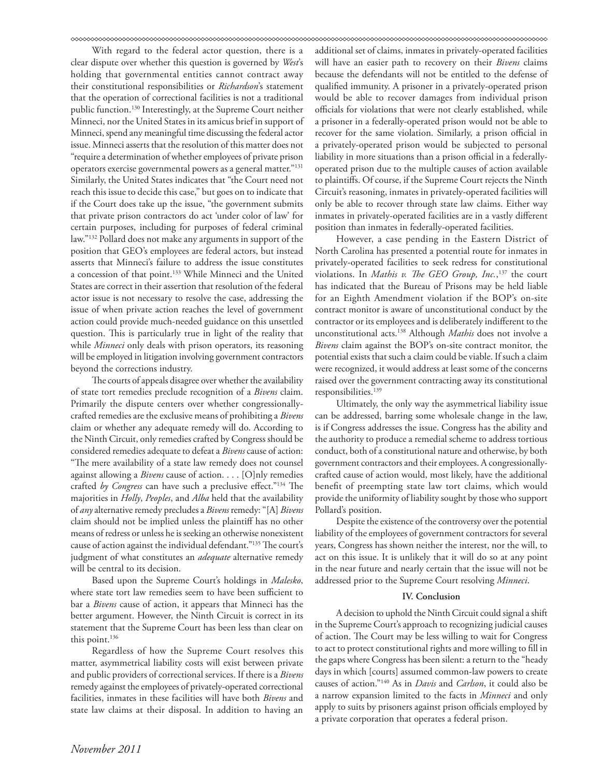With regard to the federal actor question, there is a clear dispute over whether this question is governed by *West*'s holding that governmental entities cannot contract away their constitutional responsibilities or *Richardson*'s statement that the operation of correctional facilities is not a traditional public function.130 Interestingly, at the Supreme Court neither Minneci, nor the United States in its amicus brief in support of Minneci, spend any meaningful time discussing the federal actor issue. Minneci asserts that the resolution of this matter does not "require a determination of whether employees of private prison operators exercise governmental powers as a general matter."131 Similarly, the United States indicates that "the Court need not reach this issue to decide this case," but goes on to indicate that if the Court does take up the issue, "the government submits that private prison contractors do act 'under color of law' for certain purposes, including for purposes of federal criminal law."132 Pollard does not make any arguments in support of the position that GEO's employees are federal actors, but instead asserts that Minneci's failure to address the issue constitutes a concession of that point.133 While Minneci and the United States are correct in their assertion that resolution of the federal actor issue is not necessary to resolve the case, addressing the issue of when private action reaches the level of government action could provide much-needed guidance on this unsettled question. This is particularly true in light of the reality that while *Minneci* only deals with prison operators, its reasoning will be employed in litigation involving government contractors beyond the corrections industry.

The courts of appeals disagree over whether the availability of state tort remedies preclude recognition of a *Bivens* claim. Primarily the dispute centers over whether congressionallycrafted remedies are the exclusive means of prohibiting a *Bivens* claim or whether any adequate remedy will do. According to the Ninth Circuit, only remedies crafted by Congress should be considered remedies adequate to defeat a *Bivens* cause of action: "The mere availability of a state law remedy does not counsel against allowing a *Bivens* cause of action. . . . [O]nly remedies crafted *by Congress* can have such a preclusive effect."134 The majorities in *Holly*, *Peoples*, and *Alba* held that the availability of *any* alternative remedy precludes a *Bivens* remedy: "[A] *Bivens*  claim should not be implied unless the plaintiff has no other means of redress or unless he is seeking an otherwise nonexistent cause of action against the individual defendant."135 The court's judgment of what constitutes an *adequate* alternative remedy will be central to its decision.

Based upon the Supreme Court's holdings in *Malesko*, where state tort law remedies seem to have been sufficient to bar a *Bivens* cause of action, it appears that Minneci has the better argument. However, the Ninth Circuit is correct in its statement that the Supreme Court has been less than clear on this point.<sup>136</sup>

Regardless of how the Supreme Court resolves this matter, asymmetrical liability costs will exist between private and public providers of correctional services. If there is a *Bivens* remedy against the employees of privately-operated correctional facilities, inmates in these facilities will have both *Bivens* and state law claims at their disposal. In addition to having an

additional set of claims, inmates in privately-operated facilities will have an easier path to recovery on their *Bivens* claims because the defendants will not be entitled to the defense of qualified immunity. A prisoner in a privately-operated prison would be able to recover damages from individual prison officials for violations that were not clearly established, while a prisoner in a federally-operated prison would not be able to recover for the same violation. Similarly, a prison official in a privately-operated prison would be subjected to personal liability in more situations than a prison official in a federallyoperated prison due to the multiple causes of action available to plaintiffs. Of course, if the Supreme Court rejects the Ninth Circuit's reasoning, inmates in privately-operated facilities will only be able to recover through state law claims. Either way inmates in privately-operated facilities are in a vastly different position than inmates in federally-operated facilities.

However, a case pending in the Eastern District of North Carolina has presented a potential route for inmates in privately-operated facilities to seek redress for constitutional violations. In *Mathis v. The GEO Group, Inc.*, 137 the court has indicated that the Bureau of Prisons may be held liable for an Eighth Amendment violation if the BOP's on-site contract monitor is aware of unconstitutional conduct by the contractor or its employees and is deliberately indifferent to the unconstitutional acts.138 Although *Mathis* does not involve a *Bivens* claim against the BOP's on-site contract monitor, the potential exists that such a claim could be viable. If such a claim were recognized, it would address at least some of the concerns raised over the government contracting away its constitutional responsibilities.<sup>139</sup>

Ultimately, the only way the asymmetrical liability issue can be addressed, barring some wholesale change in the law, is if Congress addresses the issue. Congress has the ability and the authority to produce a remedial scheme to address tortious conduct, both of a constitutional nature and otherwise, by both government contractors and their employees. A congressionallycrafted cause of action would, most likely, have the additional benefit of preempting state law tort claims, which would provide the uniformity of liability sought by those who support Pollard's position.

Despite the existence of the controversy over the potential liability of the employees of government contractors for several years, Congress has shown neither the interest, nor the will, to act on this issue. It is unlikely that it will do so at any point in the near future and nearly certain that the issue will not be addressed prior to the Supreme Court resolving *Minneci*.

### **IV. Conclusion**

A decision to uphold the Ninth Circuit could signal a shift in the Supreme Court's approach to recognizing judicial causes of action. The Court may be less willing to wait for Congress to act to protect constitutional rights and more willing to fill in the gaps where Congress has been silent: a return to the "heady days in which [courts] assumed common-law powers to create causes of action."140 As in *Davis* and *Carlson*, it could also be a narrow expansion limited to the facts in *Minneci* and only apply to suits by prisoners against prison officials employed by a private corporation that operates a federal prison.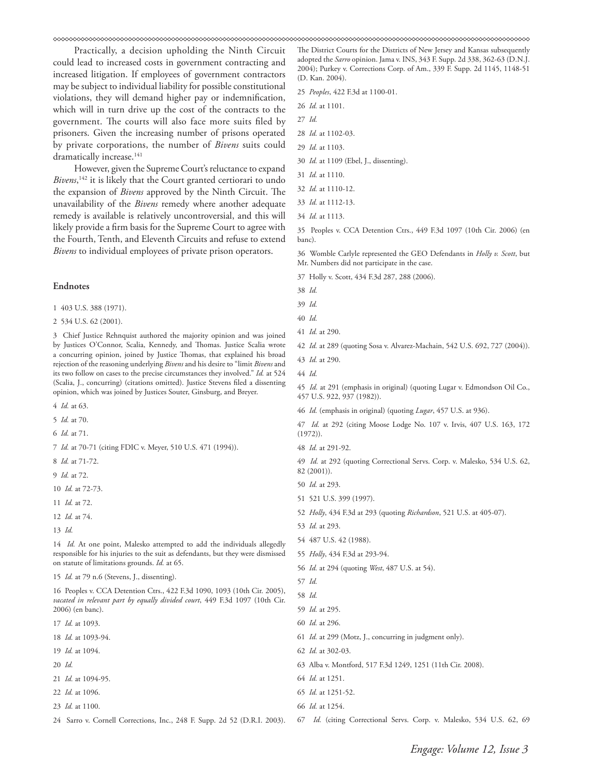Practically, a decision upholding the Ninth Circuit could lead to increased costs in government contracting and increased litigation. If employees of government contractors may be subject to individual liability for possible constitutional violations, they will demand higher pay or indemnification, which will in turn drive up the cost of the contracts to the government. The courts will also face more suits filed by prisoners. Given the increasing number of prisons operated by private corporations, the number of *Bivens* suits could dramatically increase.<sup>141</sup>

However, given the Supreme Court's reluctance to expand *Bivens*, 142 it is likely that the Court granted certiorari to undo the expansion of *Bivens* approved by the Ninth Circuit. The unavailability of the *Bivens* remedy where another adequate remedy is available is relatively uncontroversial, and this will likely provide a firm basis for the Supreme Court to agree with the Fourth, Tenth, and Eleventh Circuits and refuse to extend *Bivens* to individual employees of private prison operators.

### **Endnotes**

1 403 U.S. 388 (1971).

2 534 U.S. 62 (2001).

3 Chief Justice Rehnquist authored the majority opinion and was joined by Justices O'Connor, Scalia, Kennedy, and Thomas. Justice Scalia wrote a concurring opinion, joined by Justice Thomas, that explained his broad rejection of the reasoning underlying *Bivens* and his desire to "limit *Bivens* and its two follow on cases to the precise circumstances they involved." *Id.* at 524 (Scalia, J., concurring) (citations omitted). Justice Stevens filed a dissenting opinion, which was joined by Justices Souter, Ginsburg, and Breyer.

4 *Id.* at 63.

5 *Id.* at 70.

6 *Id.* at 71.

7 *Id.* at 70-71 (citing FDIC v. Meyer, 510 U.S. 471 (1994)).

8 *Id.* at 71-72.

9 *Id.* at 72.

10 *Id.* at 72-73.

11 *Id.* at 72.

12 *Id.* at 74.

13 *Id.*

14 *Id.* At one point, Malesko attempted to add the individuals allegedly responsible for his injuries to the suit as defendants, but they were dismissed on statute of limitations grounds. *Id.* at 65.

15 *Id.* at 79 n.6 (Stevens, J., dissenting).

16 Peoples v. CCA Detention Ctrs., 422 F.3d 1090, 1093 (10th Cir. 2005), *vacated in relevant part by equally divided court*, 449 F.3d 1097 (10th Cir. 2006) (en banc).

17 *Id.* at 1093.

18 *Id.* at 1093-94.

19 *Id.* at 1094.

20 *Id.*

- 21 *Id.* at 1094-95.
- 22 *Id.* at 1096.
- 23 *Id.* at 1100.
- 24 Sarro v. Cornell Corrections, Inc., 248 F. Supp. 2d 52 (D.R.I. 2003).

The District Courts for the Districts of New Jersey and Kansas subsequently adopted the *Sarro* opinion. Jama v. INS, 343 F. Supp. 2d 338, 362-63 (D.N.J. 2004); Purkey v. Corrections Corp. of Am., 339 F. Supp. 2d 1145, 1148-51 (D. Kan. 2004).

25 *Peoples*, 422 F.3d at 1100-01.

26 *Id.* at 1101.

27 *Id.*

28 *Id.* at 1102-03.

- 29 *Id.* at 1103.
- 30 *Id.* at 1109 (Ebel, J., dissenting).
- 31 *Id.* at 1110.
- 32 *Id.* at 1110-12.
- 33 *Id.* at 1112-13.
- 34 *Id.* at 1113.

35 Peoples v. CCA Detention Ctrs., 449 F.3d 1097 (10th Cir. 2006) (en banc).

36 Womble Carlyle represented the GEO Defendants in *Holly v. Scott*, but Mr. Numbers did not participate in the case.

37 Holly v. Scott, 434 F.3d 287, 288 (2006).

- 38 *Id.*
- 39 *Id.*
- 40 *Id.*

- 42 *Id.* at 289 (quoting Sosa v. Alvarez-Machain, 542 U.S. 692, 727 (2004)).
- 43 *Id.* at 290.
- 44 *Id.*

45 *Id.* at 291 (emphasis in original) (quoting Lugar v. Edmondson Oil Co., 457 U.S. 922, 937 (1982)).

46 *Id.* (emphasis in original) (quoting *Lugar*, 457 U.S. at 936).

47 *Id.* at 292 (citing Moose Lodge No. 107 v. Irvis, 407 U.S. 163, 172 (1972)).

48 *Id.* at 291-92.

49 *Id.* at 292 (quoting Correctional Servs. Corp. v. Malesko, 534 U.S. 62, 82 (2001)).

- 50 *Id.* at 293.
- 51 521 U.S. 399 (1997).
- 52 *Holly*, 434 F.3d at 293 (quoting *Richardson*, 521 U.S. at 405-07).
- 53 *Id.* at 293.
- 54 487 U.S. 42 (1988).
- 55 *Holly*, 434 F.3d at 293-94.
- 56 *Id.* at 294 (quoting *West*, 487 U.S. at 54).
- 57 *Id.*
- 58 *Id.*

59 *Id.* at 295.

- 60 *Id.* at 296.
- 61 *Id.* at 299 (Motz, J., concurring in judgment only).
- 62 *Id.* at 302-03.
- 63 Alba v. Montford, 517 F.3d 1249, 1251 (11th Cir. 2008).
- 64 *Id.* at 1251.

66 *Id.* at 1254.

67 *Id.* (citing Correctional Servs. Corp. v. Malesko, 534 U.S. 62, 69

<sup>41</sup> *Id.* at 290.

<sup>65</sup> *Id.* at 1251-52.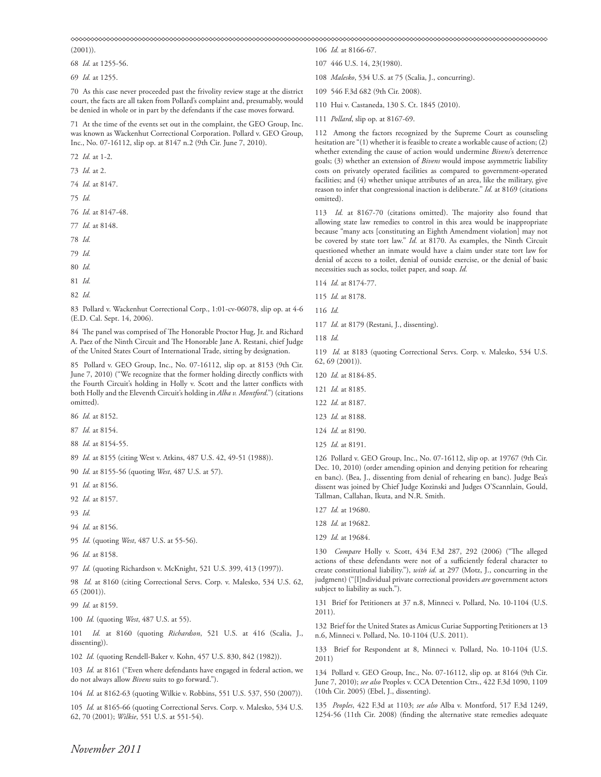(2001)).

68 *Id.* at 1255-56.

69 *Id.* at 1255.

70 As this case never proceeded past the frivolity review stage at the district court, the facts are all taken from Pollard's complaint and, presumably, would be denied in whole or in part by the defendants if the case moves forward.

71 At the time of the events set out in the complaint, the GEO Group, Inc. was known as Wackenhut Correctional Corporation. Pollard v. GEO Group, Inc., No. 07-16112, slip op. at 8147 n.2 (9th Cir. June 7, 2010).

72 *Id.* at 1-2.

73 *Id.* at 2.

74 *Id.* at 8147.

75 *Id.*

76 *Id.* at 8147-48.

77 *Id.* at 8148.

78 *Id.*

79 *Id.*

80 *Id.*

81 *Id.*

82 *Id.*

83 Pollard v. Wackenhut Correctional Corp., 1:01-cv-06078, slip op. at 4-6 (E.D. Cal. Sept. 14, 2006).

84 The panel was comprised of The Honorable Proctor Hug, Jr. and Richard A. Paez of the Ninth Circuit and The Honorable Jane A. Restani, chief Judge of the United States Court of International Trade, sitting by designation.

85 Pollard v. GEO Group, Inc., No. 07-16112, slip op. at 8153 (9th Cir. June 7, 2010) ("We recognize that the former holding directly conflicts with the Fourth Circuit's holding in Holly v. Scott and the latter conflicts with both Holly and the Eleventh Circuit's holding in *Alba v. Montford*.") (citations omitted).

86 *Id.* at 8152.

87 *Id.* at 8154.

88 *Id.* at 8154-55.

89 *Id.* at 8155 (citing West v. Atkins, 487 U.S. 42, 49-51 (1988)).

90 *Id.* at 8155-56 (quoting *West*, 487 U.S. at 57).

91 *Id.* at 8156.

92 *Id.* at 8157.

93 *Id.*

94 *Id.* at 8156.

95 *Id.* (quoting *West*, 487 U.S. at 55-56).

96 *Id.* at 8158.

97 *Id.* (quoting Richardson v. McKnight, 521 U.S. 399, 413 (1997)).

98 *Id.* at 8160 (citing Correctional Servs. Corp. v. Malesko, 534 U.S. 62, 65 (2001)).

99 *Id.* at 8159.

100 *Id.* (quoting *West*, 487 U.S. at 55).

101 *Id.* at 8160 (quoting *Richardson*, 521 U.S. at 416 (Scalia, J., dissenting)).

102 *Id.* (quoting Rendell-Baker v. Kohn, 457 U.S. 830, 842 (1982)).

103 *Id.* at 8161 ("Even where defendants have engaged in federal action, we do not always allow *Bivens* suits to go forward.").

104 *Id.* at 8162-63 (quoting Wilkie v. Robbins, 551 U.S. 537, 550 (2007)).

105 *Id.* at 8165-66 (quoting Correctional Servs. Corp. v. Malesko, 534 U.S. 62, 70 (2001); *Wilkie*, 551 U.S. at 551-54).

106 *Id.* at 8166-67.

107 446 U.S. 14, 23(1980).

108 *Malesko*, 534 U.S. at 75 (Scalia, J., concurring).

109 546 F.3d 682 (9th Cir. 2008).

110 Hui v. Castaneda, 130 S. Ct. 1845 (2010).

111 *Pollard*, slip op. at 8167-69.

112 Among the factors recognized by the Supreme Court as counseling hesitation are "(1) whether it is feasible to create a workable cause of action; (2) whether extending the cause of action would undermine *Bivens*'s deterrence goals; (3) whether an extension of *Bivens* would impose asymmetric liability costs on privately operated facilities as compared to government-operated facilities; and (4) whether unique attributes of an area, like the military, give reason to infer that congressional inaction is deliberate." *Id.* at 8169 (citations omitted).

113 *Id.* at 8167-70 (citations omitted). The majority also found that allowing state law remedies to control in this area would be inappropriate because "many acts [constituting an Eighth Amendment violation] may not be covered by state tort law." *Id.* at 8170. As examples, the Ninth Circuit questioned whether an inmate would have a claim under state tort law for denial of access to a toilet, denial of outside exercise, or the denial of basic necessities such as socks, toilet paper, and soap. *Id.*

114 *Id.* at 8174-77.

115 *Id.* at 8178.

116 *Id.*

117 *Id.* at 8179 (Restani, J., dissenting).

118 *Id.*

119 *Id.* at 8183 (quoting Correctional Servs. Corp. v. Malesko, 534 U.S. 62, 69 (2001)).

120 *Id.* at 8184-85.

121 *Id.* at 8185.

122 *Id.* at 8187.

125 *Id.* at 8191.

126 Pollard v. GEO Group, Inc., No. 07-16112, slip op. at 19767 (9th Cir. Dec. 10, 2010) (order amending opinion and denying petition for rehearing en banc). (Bea, J., dissenting from denial of rehearing en banc). Judge Bea's dissent was joined by Chief Judge Kozinski and Judges O'Scannlain, Gould, Tallman, Callahan, Ikuta, and N.R. Smith.

127 *Id.* at 19680.

128 *Id.* at 19682.

129 *Id.* at 19684.

130 *Compare* Holly v. Scott, 434 F.3d 287, 292 (2006) ("The alleged actions of these defendants were not of a sufficiently federal character to create constitutional liability."), *with id.* at 297 (Motz, J., concurring in the judgment) ("[I]ndividual private correctional providers *are* government actors subject to liability as such.").

131 Brief for Petitioners at 37 n.8, Minneci v. Pollard, No. 10-1104 (U.S. 2011).

132 Brief for the United States as Amicus Curiae Supporting Petitioners at 13 n.6, Minneci v. Pollard, No. 10-1104 (U.S. 2011).

133 Brief for Respondent at 8, Minneci v. Pollard, No. 10-1104 (U.S. 2011)

134 Pollard v. GEO Group, Inc., No. 07-16112, slip op. at 8164 (9th Cir. June 7, 2010); *see also* Peoples v. CCA Detention Ctrs., 422 F.3d 1090, 1109 (10th Cir. 2005) (Ebel, J., dissenting).

135 *Peoples*, 422 F.3d at 1103; *see also* Alba v. Montford, 517 F.3d 1249, 1254-56 (11th Cir. 2008) (finding the alternative state remedies adequate

<sup>123</sup> *Id.* at 8188.

<sup>124</sup> *Id.* at 8190.